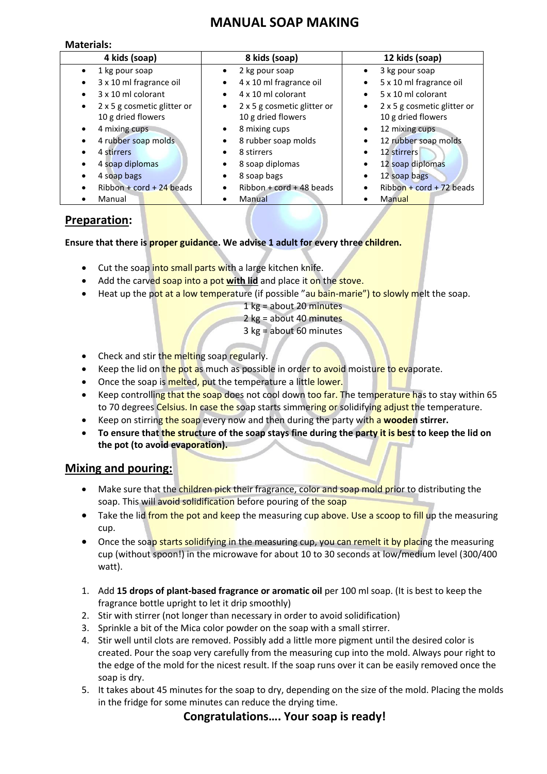# **MANUAL SOAP MAKING**

#### **Materials:**

| 4 kids (soap)                    | 8 kids (soap)                            | 12 kids (soap)                           |
|----------------------------------|------------------------------------------|------------------------------------------|
| 1 kg pour soap                   | 2 kg pour soap                           | 3 kg pour soap<br>$\bullet$              |
| 3 x 10 ml fragrance oil          | 4 x 10 ml fragrance oil<br>$\bullet$     | 5 x 10 ml fragrance oil<br>$\bullet$     |
| 3 x 10 ml colorant               | 4 x 10 ml colorant<br>$\bullet$          | 5 x 10 ml colorant<br>$\bullet$          |
| 2 x 5 g cosmetic glitter or<br>٠ | 2 x 5 g cosmetic glitter or<br>$\bullet$ | 2 x 5 g cosmetic glitter or<br>$\bullet$ |
| 10 g dried flowers               | 10 g dried flowers                       | 10 g dried flowers                       |
| 4 mixing cups                    | 8 mixing cups<br>$\bullet$               | 12 mixing cups<br>٠                      |
| 4 rubber soap molds              | 8 rubber soap molds                      | 12 rubber soap molds<br>٠                |
| 4 stirrers                       | 8 stirrers<br>$\bullet$                  | 12 stirrers                              |
| 4 soap diplomas                  | 8 soap diplomas<br>٠                     | 12 soap diplomas                         |
| 4 soap bags                      | 8 soap bags                              | 12 soap bags                             |
| Ribbon + cord + 24 beads         | $Ribbon + cord + 48$ beads               | $Ribbon + cord + 72 beads$               |
| Manual                           | Manual                                   | Manual                                   |

## **Preparation:**

**Ensure that there is proper guidance. We advise 1 adult for every three children.**

- Cut the soap into small parts with a large kitchen knife.
- Add the carved soap into a pot **with lid** and place it on the stove.
- Heat up the pot at a low temperature (if possible "au bain-marie") to slowly melt the soap.

|  |  | 1 kg = about 20 minutes |
|--|--|-------------------------|
|  |  |                         |

- 2 kg = about 40 minutes
- 3 kg = about 60 minutes
- Check and stir the melting soap regularly.
- Keep the lid on the pot as much as possible in order to avoid moisture to evaporate.
- Once the soap is melted, put the temperature a little lower.
- Keep controlling that the soap does not cool down too far. The temperature has to stay within 65 to 70 degrees Celsius. In case the soap starts simmering or solidifying adjust the temperature.
- Keep on stirring the soap every now and then during the party with a **wooden stirrer.**
- **To ensure that the structure of the soap stays fine during the party it is best to keep the lid on the pot (to avoid evaporation).**

## **Mixing and pouring:**

- Make sure that the children pick their fragrance, color and soap mold prior to distributing the soap. This will avoid solidification before pouring of the soap
- Take the lid from the pot and keep the measuring cup above. Use a scoop to fill up the measuring cup.
- Once the soap starts solidifying in the measuring cup, you can remelt it by placing the measuring cup (without spoon!) in the microwave for about 10 to 30 seconds at low/medium level (300/400 watt).
- 1. Add **15 drops of plant-based fragrance or aromatic oil** per 100 ml soap. (It is best to keep the fragrance bottle upright to let it drip smoothly)
- 2. Stir with stirrer (not longer than necessary in order to avoid solidification)
- 3. Sprinkle a bit of the Mica color powder on the soap with a small stirrer.
- 4. Stir well until clots are removed. Possibly add a little more pigment until the desired color is created. Pour the soap very carefully from the measuring cup into the mold. Always pour right to the edge of the mold for the nicest result. If the soap runs over it can be easily removed once the soap is dry.
- 5. It takes about 45 minutes for the soap to dry, depending on the size of the mold. Placing the molds in the fridge for some minutes can reduce the drying time.

#### **Congratulations…. Your soap is ready!**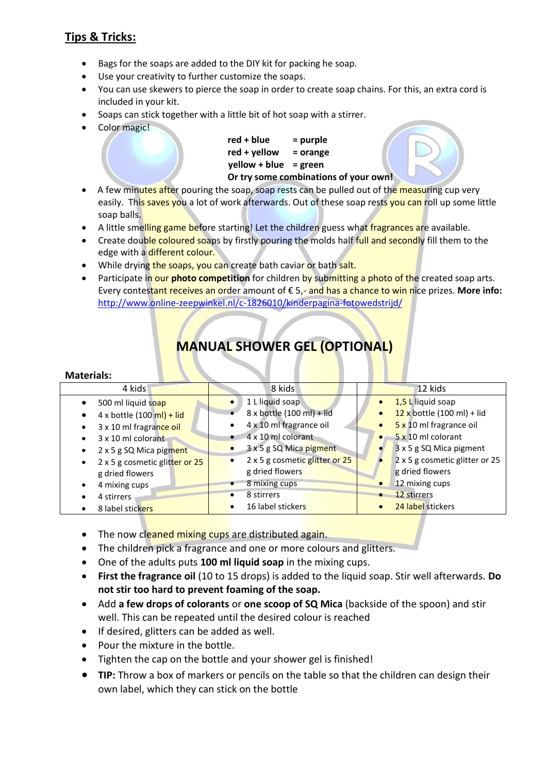## **Tips & Tricks:**

- Bags for the soaps are added to the DIY kit for packing he soap.
- Use your creativity to further customize the soaps.
- You can use skewers to pierce the soap in order to create soap chains. For this, an extra cord is included in your kit.
- Soaps can stick together with a little bit of hot soap with a stirrer.
- Color magic!

**red + blue = purple red + yellow = orange yellow + blue = green Or try some combinations of your own!**

- A few minutes after pouring the soap, soap rests can be pulled out of the measuring cup very easily. This saves you a lot of work afterwards. Out of these soap rests you can roll up some little soap balls.
- A little smelling game before starting! Let the children guess what fragrances are available.
- Create double coloured soaps by firstly pouring the molds half full and secondly fill them to the edge with a different colour.
- While drying the soaps, you can create bath caviar or bath salt.
- Participate in our **photo competition** for children by submitting a photo of the created soap arts. Every contestant receives an order amount of € 5,- and has a chance to win nice prizes. **More info:** <http://www.online-zeepwinkel.nl/c-1826010/kinderpagina-fotowedstrijd/>

# **MANUAL SHOWER GEL (OPTIONAL)**

#### **Materials:**

| 4 kids                                      | 8 kids                               | 12 kids                                        |
|---------------------------------------------|--------------------------------------|------------------------------------------------|
| 500 ml liquid soap                          | 1 L liquid soap                      | 1,5 L liquid soap<br>$\bullet$                 |
| $4 \times$ bottle (100 ml) + lid            | 8 x bottle (100 ml) + lid            | $12 \times$ bottle (100 ml) + lid<br>$\bullet$ |
| 3 x 10 ml fragrance oil<br>$\bullet$        | 4 x 10 ml fragrance oil              | 5 x 10 ml fragrance oil<br>$\bullet$           |
| 3 x 10 ml colorant<br>$\bullet$             | 4 x 10 ml colorant                   | 5 x 10 ml colorant                             |
| 2 x 5 g SQ Mica pigment<br>$\bullet$        | 3 x 5 g SQ Mica pigment<br>$\bullet$ | 3 x 5 g SQ Mica pigment                        |
| 2 x 5 g cosmetic glitter or 25<br>$\bullet$ | 2 x 5 g cosmetic glitter or 25       | 2 x 5 g cosmetic glitter or 25                 |
| g dried flowers                             | g dried flowers                      | g dried flowers                                |
| 4 mixing cups                               | 8 mixing cups<br>$\bullet$           | 12 mixing cups<br>$\bullet$                    |
| 4 stirrers                                  | 8 stirrers                           | 12 stirrers                                    |
| 8 label stickers                            | 16 label stickers                    | 24 label stickers                              |

- The now cleaned mixing cups are distributed again.
- The children pick a fragrance and one or more colours and glitters.
- One of the adults puts **100 ml liquid soap** in the mixing cups.
- **First the fragrance oil** (10 to 15 drops) is added to the liquid soap. Stir well afterwards. **Do not stir too hard to prevent foaming of the soap.**
- Add **a few drops of colorants** or **one scoop of SQ Mica** (backside of the spoon) and stir well. This can be repeated until the desired colour is reached
- If desired, glitters can be added as well.
- Pour the mixture in the bottle.
- Tighten the cap on the bottle and your shower gel is finished!
- **TIP:** Throw a box of markers or pencils on the table so that the children can design their own label, which they can stick on the bottle